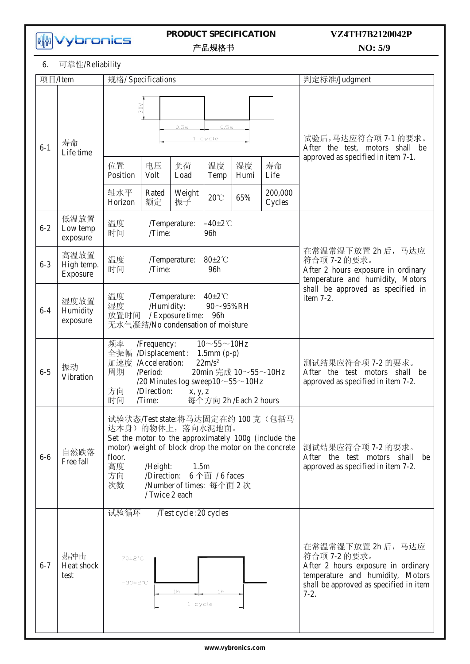**MM**<br>Wybronics

# **PRODUCT SPECIFICATION**

# **NO: 5/9 VZ4TH7B2120042P**

 $\frac{1}{2}$  Heiser  $\frac{1}{2}$  Specification  $\frac{1}{2}$ 

6. 可靠性/Reliability

| 项目/Item |                                                                                                                                              | 规格/ Specifications                                                                                                                                                                                                                                                                                         |                     |                      |                         | 判定标准/Judgment                                                                                                                                                    |                           |                                                                                                                                                                |
|---------|----------------------------------------------------------------------------------------------------------------------------------------------|------------------------------------------------------------------------------------------------------------------------------------------------------------------------------------------------------------------------------------------------------------------------------------------------------------|---------------------|----------------------|-------------------------|------------------------------------------------------------------------------------------------------------------------------------------------------------------|---------------------------|----------------------------------------------------------------------------------------------------------------------------------------------------------------|
| $6 - 1$ | 寿命<br>Life time                                                                                                                              | 3.0V<br>位置                                                                                                                                                                                                                                                                                                 | 电压                  | 0.5s<br>负荷           | 0.5s<br>$1$ cycle<br>温度 | 试验后,马达应符合项 7-1 的要求。<br>After the test, motors shall be<br>approved as specified in item 7-1.                                                                     |                           |                                                                                                                                                                |
|         |                                                                                                                                              | Position<br>轴水平<br>Horizon                                                                                                                                                                                                                                                                                 | Volt<br>Rated<br>额定 | Load<br>Weight<br>振子 | Temp<br>$20^{\circ}$ C  | Humi<br>65%                                                                                                                                                      | Life<br>200,000<br>Cycles |                                                                                                                                                                |
| $6 - 2$ | 低温放置<br>Low temp<br>exposure                                                                                                                 | 温度<br>时间                                                                                                                                                                                                                                                                                                   | /Time:              | /Temperature:        | $-40\pm2$ °C<br>96h     |                                                                                                                                                                  |                           |                                                                                                                                                                |
| $6 - 3$ | 高温放置<br>High temp.<br>Exposure                                                                                                               | 温度<br>$80 \pm 2$ °C<br>/Temperature:<br>时间<br>/Time:<br>96h                                                                                                                                                                                                                                                |                     |                      |                         |                                                                                                                                                                  |                           | 在常温常湿下放置 2h 后, 马达应<br>符合项 7-2 的要求。<br>After 2 hours exposure in ordinary<br>temperature and humidity, Motors<br>shall be approved as specified in<br>item 7-2. |
| $6 - 4$ | 湿度放置<br>Humidity<br>exposure                                                                                                                 | 温度<br>$40\pm2\degree$ C<br>/Temperature:<br>湿度<br>/Humidity:<br>90~95%RH<br>放置时间<br>/ Exposure time: 96h<br>无水气凝结/No condensation of moisture                                                                                                                                                              |                     |                      |                         |                                                                                                                                                                  |                           |                                                                                                                                                                |
| $6 - 5$ | 振动<br>Vibration                                                                                                                              | 频率<br>$10 \sim 55 \sim 10$ Hz<br>/Frequency:<br>全振幅 /Displacement:<br>$1.5$ mm $(p-p)$<br>加速度 /Acceleration:<br>$22m/s^2$<br>周期<br>20min 完成 10~55~10Hz<br>/Period:<br>/20 Minutes log sweep10 $\sim$ 55 $\sim$ 10Hz<br>方向<br>/Direction:<br>x, y, z<br>时间<br>每个方向 2h/Each 2 hours<br>/Time:                |                     |                      |                         |                                                                                                                                                                  |                           | 测试结果应符合项 7-2 的要求。<br>After the test motors shall be<br>approved as specified in item 7-2.                                                                      |
| $6-6$   | 自然跌落<br>Free fall                                                                                                                            | 试验状态/Test state:将马达固定在约 100 克 (包括马<br>达本身)的物体上, 落向水泥地面。<br>Set the motor to the approximately 100g (include the<br>motor) weight of block drop the motor on the concrete<br>floor.<br>高度<br>1.5m<br>/Height:<br>$6$ 个面 / 6 faces<br>方向<br>/Direction:<br>次数<br>/Number of times: 每个面 2 次<br>/ Twice 2 each |                     |                      |                         |                                                                                                                                                                  |                           | 测试结果应符合项 7-2 的要求。<br>After the test motors shall<br>be<br>approved as specified in item 7-2.                                                                   |
| $6 - 7$ | 试验循环<br>/Test cycle: 20 cycles<br>热冲击<br>70±2°C<br>Heat shock<br>test<br>$-30\pm2\degree$ C<br>1 <sub>h</sub><br>1 <sub>h</sub><br>$1$ cycle |                                                                                                                                                                                                                                                                                                            |                     |                      |                         | 在常温常湿下放置 2h 后, 马达应<br>符合项 7-2 的要求。<br>After 2 hours exposure in ordinary<br>temperature and humidity, Motors<br>shall be approved as specified in item<br>$7-2.$ |                           |                                                                                                                                                                |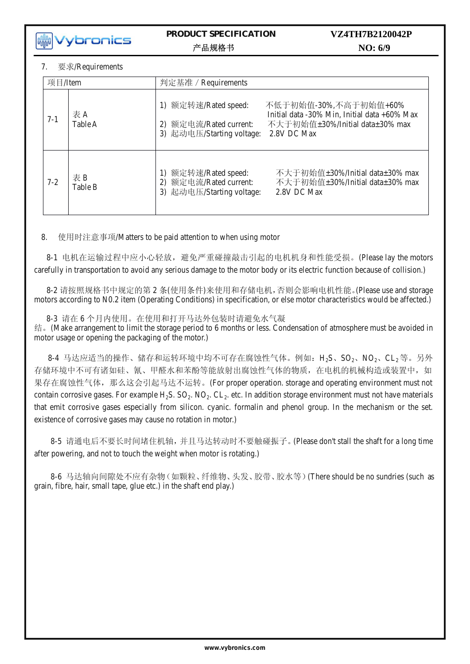**kikk** vybronics

### PRODUCT SPECIFICATION 产品规格书

### VZ4TH7B2120042P NO: 6/9

#### $\overline{7}$ 要求/Requirements

| 项目/Item |               | 判定基准 / Requirements                                                         |                                                                                                                         |  |  |  |
|---------|---------------|-----------------------------------------------------------------------------|-------------------------------------------------------------------------------------------------------------------------|--|--|--|
| $7-1$   | 表A<br>Table A | 1) 额定转速/Rated speed:<br>2) 额定电流/Rated current:<br>3) 起动电压/Starting voltage: | 不低于初始值-30%,不高于初始值+60%<br>Initial data -30% Min, Initial data +60% Max<br>不大于初始值±30%/Initial data±30% max<br>2.8V DC Max |  |  |  |
| $7 - 2$ | 表B<br>Table B | 1) 额定转速/Rated speed:<br>2) 额定电流/Rated current:<br>3) 起动电压/Starting voltage: | 不大于初始值±30%/Initial data±30% max<br>不大于初始值±30%/Initial data±30% max<br>2.8V DC Max                                       |  |  |  |

使用时注意事项/Matters to be paid attention to when using motor 8.

8-1 电机在运输过程中应小心轻放,避免严重碰撞敲击引起的电机机身和性能受损。(Please lay the motors carefully in transportation to avoid any serious damage to the motor body or its electric function because of collision.)

8-2 请按照规格书中规定的第2条(使用条件)来使用和存储电机,否则会影响电机性能。(Please use and storage motors according to N0.2 item (Operating Conditions) in specification, or else motor characteristics would be affected.)

8-3 请在6个月内使用。在使用和打开马达外包装时请避免水气凝

结。(Make arrangement to limit the storage period to 6 months or less. Condensation of atmosphere must be avoided in motor usage or opening the packaging of the motor.)

8-4 马达应适当的操作、储存和运转环境中均不可存在腐蚀性气体。例如: H<sub>2</sub>S、SO<sub>2</sub>、NO<sub>2</sub>、CL<sub>2</sub>等。另外 存储环境中不可有诸如硅、氰、甲醛水和苯酚等能放射出腐蚀性气体的物质,在电机的机械构造或装置中,如 果存在腐蚀性气体,那么这会引起马达不运转。(For proper operation. storage and operating environment must not contain corrosive gases. For example H<sub>2</sub>S. SO<sub>2</sub>. NO<sub>2</sub>. CL<sub>2</sub>, etc. In addition storage environment must not have materials that emit corrosive gases especially from silicon. cyanic. formalin and phenol group. In the mechanism or the set. existence of corrosive gases may cause no rotation in motor.)

8-5 请通电后不要长时间堵住机轴,并且马达转动时不要触碰振子。(Please don't stall the shaft for a long time after powering, and not to touch the weight when motor is rotating.)

8-6 马达轴向间隙处不应有杂物(如颗粒、纤维物、头发、胶带、胶水等)(There should be no sundries (such as grain, fibre, hair, small tape, glue etc.) in the shaft end play.)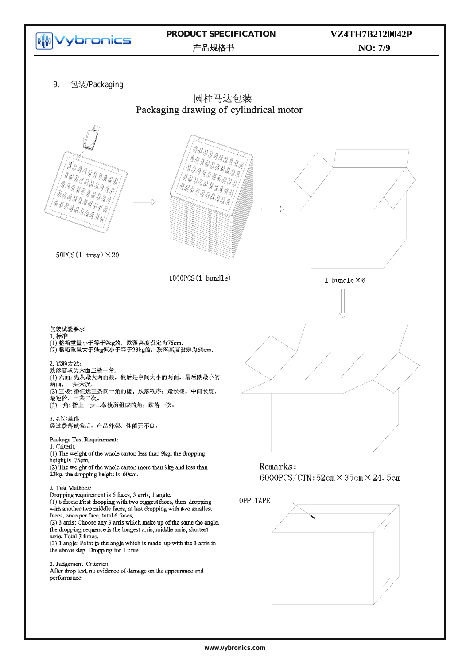

www.vybronics.com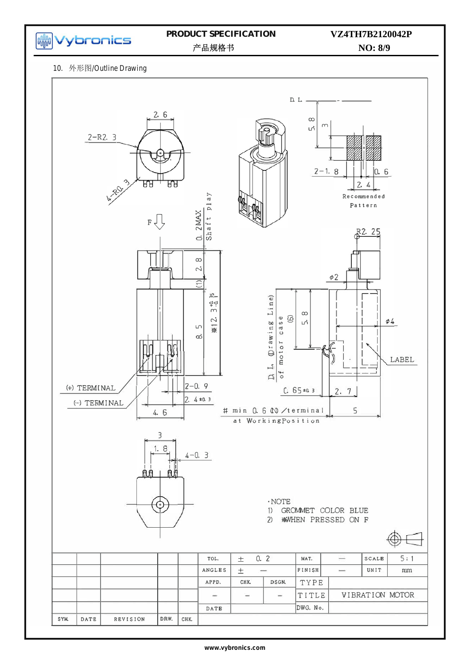

# PRODUCT SPECIFICATION

# VZ4TH7B2120042P

产品规格书

NO: 8/9

#### 10. 外形图/Outline Drawing